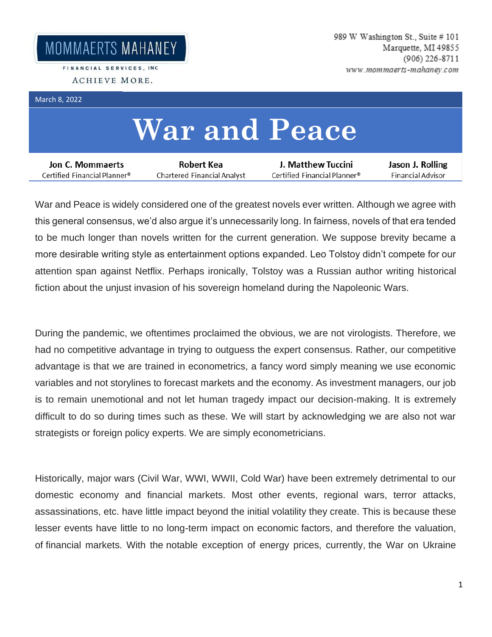FINANCIAL SERVICES, INC. ACHIEVE MORE.

## March 8, 2022

## **War and Peace**

| Jon C. Mommaerts             | Robert Kea                  | J. Matthew Tuccini                      | Jason J. Rolling  |
|------------------------------|-----------------------------|-----------------------------------------|-------------------|
| Certified Financial Planner® | Chartered Financial Analyst | $\epsilon$ Certified Financial Planner® | Financial Advisor |

War and Peace is widely considered one of the greatest novels ever written. Although we agree with this general consensus, we'd also argue it's unnecessarily long. In fairness, novels of that era tended to be much longer than novels written for the current generation. We suppose brevity became a more desirable writing style as entertainment options expanded. Leo Tolstoy didn't compete for our attention span against Netflix. Perhaps ironically, Tolstoy was a Russian author writing historical fiction about the unjust invasion of his sovereign homeland during the Napoleonic Wars.

During the pandemic, we oftentimes proclaimed the obvious, we are not virologists. Therefore, we had no competitive advantage in trying to outguess the expert consensus. Rather, our competitive advantage is that we are trained in econometrics, a fancy word simply meaning we use economic variables and not storylines to forecast markets and the economy. As investment managers, our job is to remain unemotional and not let human tragedy impact our decision-making. It is extremely difficult to do so during times such as these. We will start by acknowledging we are also not war strategists or foreign policy experts. We are simply econometricians.

Historically, major wars (Civil War, WWI, WWII, Cold War) have been extremely detrimental to our domestic economy and financial markets. Most other events, regional wars, terror attacks, assassinations, etc. have little impact beyond the initial volatility they create. This is because these lesser events have little to no long-term impact on economic factors, and therefore the valuation, of financial markets. With the notable exception of energy prices, currently, the War on Ukraine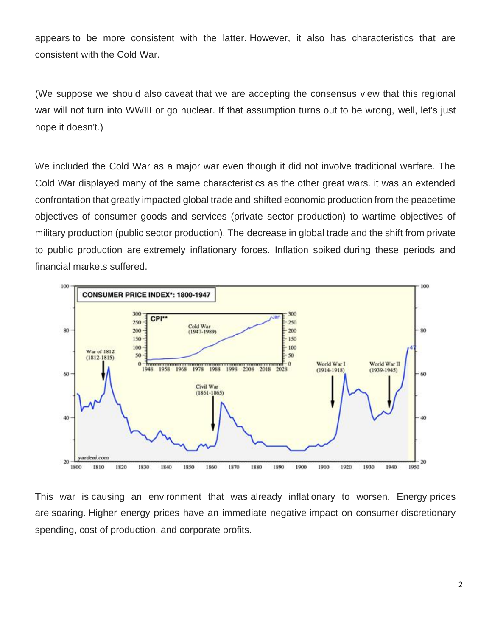appears to be more consistent with the latter. However, it also has characteristics that are consistent with the Cold War.

(We suppose we should also caveat that we are accepting the consensus view that this regional war will not turn into WWIII or go nuclear. If that assumption turns out to be wrong, well, let's just hope it doesn't.)

We included the Cold War as a major war even though it did not involve traditional warfare. The Cold War displayed many of the same characteristics as the other great wars. it was an extended confrontation that greatly impacted global trade and shifted economic production from the peacetime objectives of consumer goods and services (private sector production) to wartime objectives of military production (public sector production). The decrease in global trade and the shift from private to public production are extremely inflationary forces. Inflation spiked during these periods and financial markets suffered.



This war is causing an environment that was already inflationary to worsen. Energy prices are soaring. Higher energy prices have an immediate negative impact on consumer discretionary spending, cost of production, and corporate profits.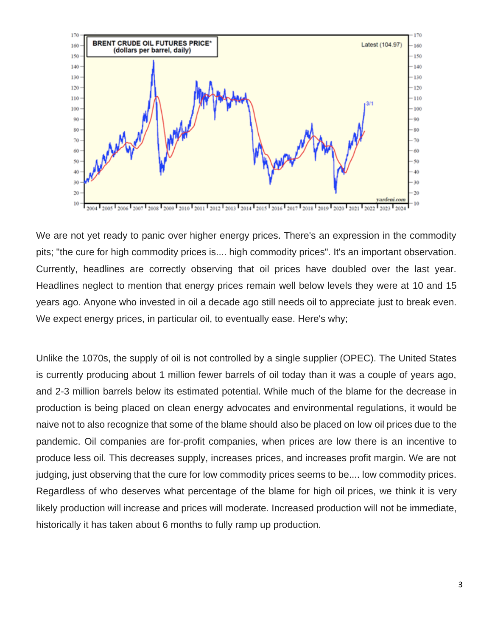

We are not yet ready to panic over higher energy prices. There's an expression in the commodity pits; "the cure for high commodity prices is.... high commodity prices". It's an important observation. Currently, headlines are correctly observing that oil prices have doubled over the last year. Headlines neglect to mention that energy prices remain well below levels they were at 10 and 15 years ago. Anyone who invested in oil a decade ago still needs oil to appreciate just to break even. We expect energy prices, in particular oil, to eventually ease. Here's why;

Unlike the 1070s, the supply of oil is not controlled by a single supplier (OPEC). The United States is currently producing about 1 million fewer barrels of oil today than it was a couple of years ago, and 2-3 million barrels below its estimated potential. While much of the blame for the decrease in production is being placed on clean energy advocates and environmental regulations, it would be naive not to also recognize that some of the blame should also be placed on low oil prices due to the pandemic. Oil companies are for-profit companies, when prices are low there is an incentive to produce less oil. This decreases supply, increases prices, and increases profit margin. We are not judging, just observing that the cure for low commodity prices seems to be.... low commodity prices. Regardless of who deserves what percentage of the blame for high oil prices, we think it is very likely production will increase and prices will moderate. Increased production will not be immediate, historically it has taken about 6 months to fully ramp up production.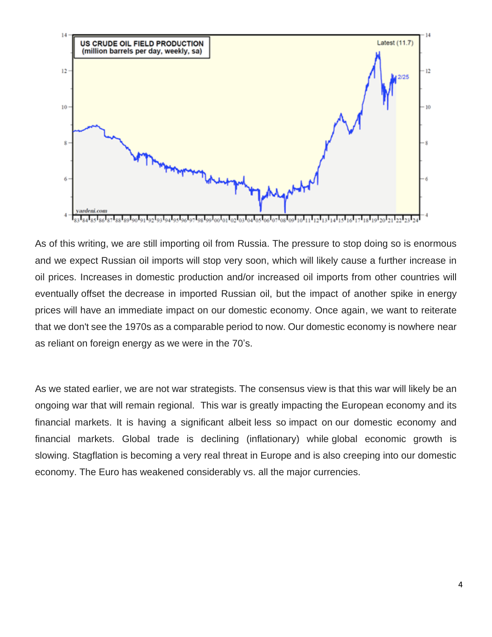

As of this writing, we are still importing oil from Russia. The pressure to stop doing so is enormous and we expect Russian oil imports will stop very soon, which will likely cause a further increase in oil prices. Increases in domestic production and/or increased oil imports from other countries will eventually offset the decrease in imported Russian oil, but the impact of another spike in energy prices will have an immediate impact on our domestic economy. Once again, we want to reiterate that we don't see the 1970s as a comparable period to now. Our domestic economy is nowhere near as reliant on foreign energy as we were in the 70's.

As we stated earlier, we are not war strategists. The consensus view is that this war will likely be an ongoing war that will remain regional. This war is greatly impacting the European economy and its financial markets. It is having a significant albeit less so impact on our domestic economy and financial markets. Global trade is declining (inflationary) while global economic growth is slowing. Stagflation is becoming a very real threat in Europe and is also creeping into our domestic economy. The Euro has weakened considerably vs. all the major currencies.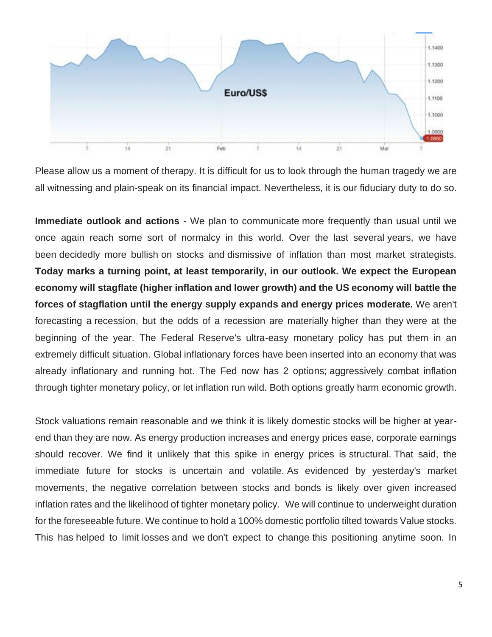

Please allow us a moment of therapy. It is difficult for us to look through the human tragedy we are all witnessing and plain-speak on its financial impact. Nevertheless, it is our fiduciary duty to do so.

**Immediate outlook and actions** - We plan to communicate more frequently than usual until we once again reach some sort of normalcy in this world. Over the last several years, we have been decidedly more bullish on stocks and dismissive of inflation than most market strategists. **Today marks a turning point, at least temporarily, in our outlook. We expect the European economy will stagflate (higher inflation and lower growth) and the US economy will battle the forces of stagflation until the energy supply expands and energy prices moderate.** We aren't forecasting a recession, but the odds of a recession are materially higher than they were at the beginning of the year. The Federal Reserve's ultra-easy monetary policy has put them in an extremely difficult situation. Global inflationary forces have been inserted into an economy that was already inflationary and running hot. The Fed now has 2 options; aggressively combat inflation through tighter monetary policy, or let inflation run wild. Both options greatly harm economic growth.

Stock valuations remain reasonable and we think it is likely domestic stocks will be higher at yearend than they are now. As energy production increases and energy prices ease, corporate earnings should recover. We find it unlikely that this spike in energy prices is structural. That said, the immediate future for stocks is uncertain and volatile. As evidenced by yesterday's market movements, the negative correlation between stocks and bonds is likely over given increased inflation rates and the likelihood of tighter monetary policy. We will continue to underweight duration for the foreseeable future. We continue to hold a 100% domestic portfolio tilted towards Value stocks. This has helped to limit losses and we don't expect to change this positioning anytime soon. In